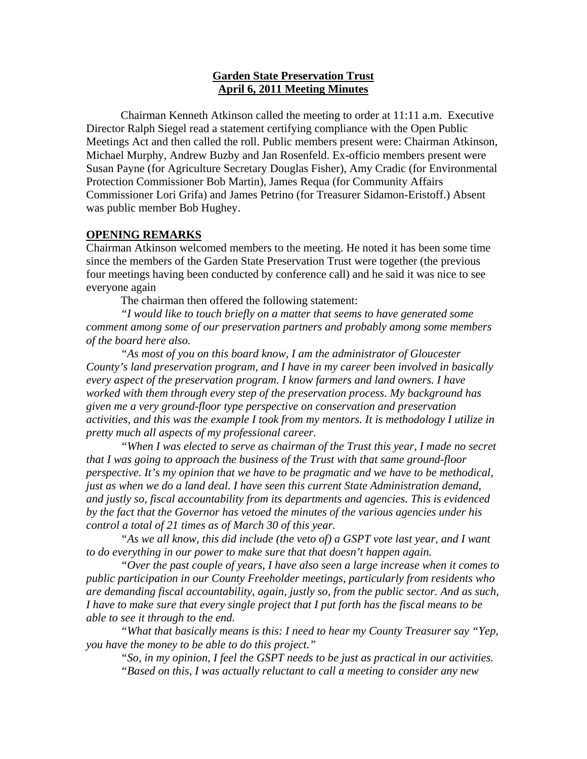## **Garden State Preservation Trust April 6, 2011 Meeting Minutes**

Chairman Kenneth Atkinson called the meeting to order at 11:11 a.m. Executive Director Ralph Siegel read a statement certifying compliance with the Open Public Meetings Act and then called the roll. Public members present were: Chairman Atkinson, Michael Murphy, Andrew Buzby and Jan Rosenfeld. Ex-officio members present were Susan Payne (for Agriculture Secretary Douglas Fisher), Amy Cradic (for Environmental Protection Commissioner Bob Martin), James Requa (for Community Affairs Commissioner Lori Grifa) and James Petrino (for Treasurer Sidamon-Eristoff.) Absent was public member Bob Hughey.

## **OPENING REMARKS**

Chairman Atkinson welcomed members to the meeting. He noted it has been some time since the members of the Garden State Preservation Trust were together (the previous four meetings having been conducted by conference call) and he said it was nice to see everyone again

The chairman then offered the following statement:

*"I would like to touch briefly on a matter that seems to have generated some comment among some of our preservation partners and probably among some members of the board here also.* 

 *"As most of you on this board know, I am the administrator of Gloucester County's land preservation program, and I have in my career been involved in basically every aspect of the preservation program. I know farmers and land owners. I have worked with them through every step of the preservation process. My background has given me a very ground-floor type perspective on conservation and preservation activities, and this was the example I took from my mentors. It is methodology I utilize in pretty much all aspects of my professional career.* 

 *"When I was elected to serve as chairman of the Trust this year, I made no secret that I was going to approach the business of the Trust with that same ground-floor perspective. It's my opinion that we have to be pragmatic and we have to be methodical, just as when we do a land deal. I have seen this current State Administration demand, and justly so, fiscal accountability from its departments and agencies. This is evidenced by the fact that the Governor has vetoed the minutes of the various agencies under his control a total of 21 times as of March 30 of this year.* 

 *"As we all know, this did include (the veto of) a GSPT vote last year, and I want to do everything in our power to make sure that that doesn't happen again.* 

 *"Over the past couple of years, I have also seen a large increase when it comes to public participation in our County Freeholder meetings, particularly from residents who are demanding fiscal accountability, again, justly so, from the public sector. And as such, I have to make sure that every single project that I put forth has the fiscal means to be able to see it through to the end.* 

 *"What that basically means is this: I need to hear my County Treasurer say "Yep, you have the money to be able to do this project."* 

 *"So, in my opinion, I feel the GSPT needs to be just as practical in our activities. "Based on this, I was actually reluctant to call a meeting to consider any new*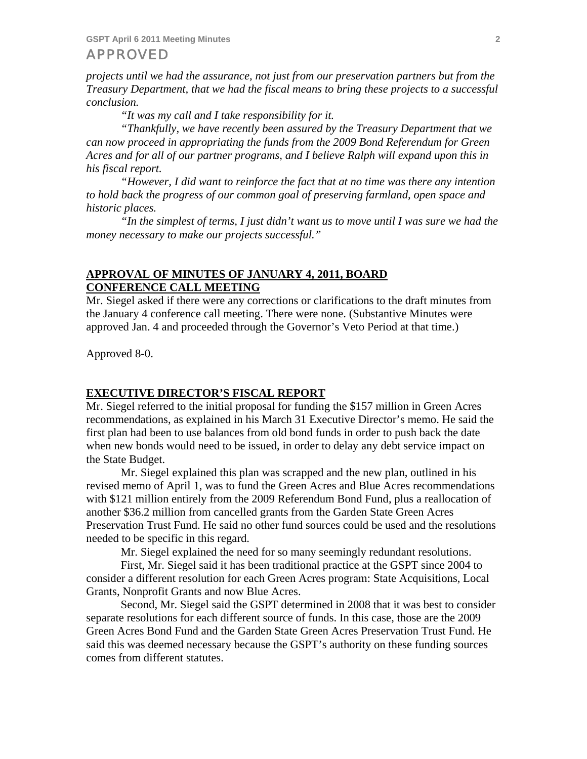*projects until we had the assurance, not just from our preservation partners but from the Treasury Department, that we had the fiscal means to bring these projects to a successful conclusion.* 

 *"It was my call and I take responsibility for it.* 

 *"Thankfully, we have recently been assured by the Treasury Department that we can now proceed in appropriating the funds from the 2009 Bond Referendum for Green Acres and for all of our partner programs, and I believe Ralph will expand upon this in his fiscal report.* 

 *"However, I did want to reinforce the fact that at no time was there any intention to hold back the progress of our common goal of preserving farmland, open space and historic places.* 

 *"In the simplest of terms, I just didn't want us to move until I was sure we had the money necessary to make our projects successful."* 

## **APPROVAL OF MINUTES OF JANUARY 4, 2011, BOARD CONFERENCE CALL MEETING**

Mr. Siegel asked if there were any corrections or clarifications to the draft minutes from the January 4 conference call meeting. There were none. (Substantive Minutes were approved Jan. 4 and proceeded through the Governor's Veto Period at that time.)

Approved 8-0.

#### **EXECUTIVE DIRECTOR'S FISCAL REPORT**

Mr. Siegel referred to the initial proposal for funding the \$157 million in Green Acres recommendations, as explained in his March 31 Executive Director's memo. He said the first plan had been to use balances from old bond funds in order to push back the date when new bonds would need to be issued, in order to delay any debt service impact on the State Budget.

 Mr. Siegel explained this plan was scrapped and the new plan, outlined in his revised memo of April 1, was to fund the Green Acres and Blue Acres recommendations with \$121 million entirely from the 2009 Referendum Bond Fund, plus a reallocation of another \$36.2 million from cancelled grants from the Garden State Green Acres Preservation Trust Fund. He said no other fund sources could be used and the resolutions needed to be specific in this regard.

Mr. Siegel explained the need for so many seemingly redundant resolutions.

 First, Mr. Siegel said it has been traditional practice at the GSPT since 2004 to consider a different resolution for each Green Acres program: State Acquisitions, Local Grants, Nonprofit Grants and now Blue Acres.

 Second, Mr. Siegel said the GSPT determined in 2008 that it was best to consider separate resolutions for each different source of funds. In this case, those are the 2009 Green Acres Bond Fund and the Garden State Green Acres Preservation Trust Fund. He said this was deemed necessary because the GSPT's authority on these funding sources comes from different statutes.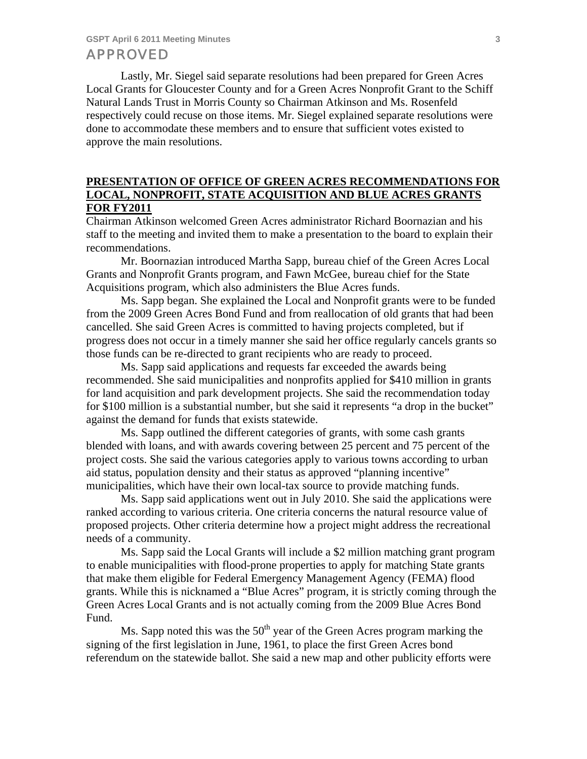Lastly, Mr. Siegel said separate resolutions had been prepared for Green Acres Local Grants for Gloucester County and for a Green Acres Nonprofit Grant to the Schiff Natural Lands Trust in Morris County so Chairman Atkinson and Ms. Rosenfeld respectively could recuse on those items. Mr. Siegel explained separate resolutions were done to accommodate these members and to ensure that sufficient votes existed to approve the main resolutions.

# **PRESENTATION OF OFFICE OF GREEN ACRES RECOMMENDATIONS FOR LOCAL, NONPROFIT, STATE ACQUISITION AND BLUE ACRES GRANTS FOR FY2011**

Chairman Atkinson welcomed Green Acres administrator Richard Boornazian and his staff to the meeting and invited them to make a presentation to the board to explain their recommendations.

 Mr. Boornazian introduced Martha Sapp, bureau chief of the Green Acres Local Grants and Nonprofit Grants program, and Fawn McGee, bureau chief for the State Acquisitions program, which also administers the Blue Acres funds.

 Ms. Sapp began. She explained the Local and Nonprofit grants were to be funded from the 2009 Green Acres Bond Fund and from reallocation of old grants that had been cancelled. She said Green Acres is committed to having projects completed, but if progress does not occur in a timely manner she said her office regularly cancels grants so those funds can be re-directed to grant recipients who are ready to proceed.

 Ms. Sapp said applications and requests far exceeded the awards being recommended. She said municipalities and nonprofits applied for \$410 million in grants for land acquisition and park development projects. She said the recommendation today for \$100 million is a substantial number, but she said it represents "a drop in the bucket" against the demand for funds that exists statewide.

 Ms. Sapp outlined the different categories of grants, with some cash grants blended with loans, and with awards covering between 25 percent and 75 percent of the project costs. She said the various categories apply to various towns according to urban aid status, population density and their status as approved "planning incentive" municipalities, which have their own local-tax source to provide matching funds.

 Ms. Sapp said applications went out in July 2010. She said the applications were ranked according to various criteria. One criteria concerns the natural resource value of proposed projects. Other criteria determine how a project might address the recreational needs of a community.

 Ms. Sapp said the Local Grants will include a \$2 million matching grant program to enable municipalities with flood-prone properties to apply for matching State grants that make them eligible for Federal Emergency Management Agency (FEMA) flood grants. While this is nicknamed a "Blue Acres" program, it is strictly coming through the Green Acres Local Grants and is not actually coming from the 2009 Blue Acres Bond Fund.

Ms. Sapp noted this was the  $50<sup>th</sup>$  year of the Green Acres program marking the signing of the first legislation in June, 1961, to place the first Green Acres bond referendum on the statewide ballot. She said a new map and other publicity efforts were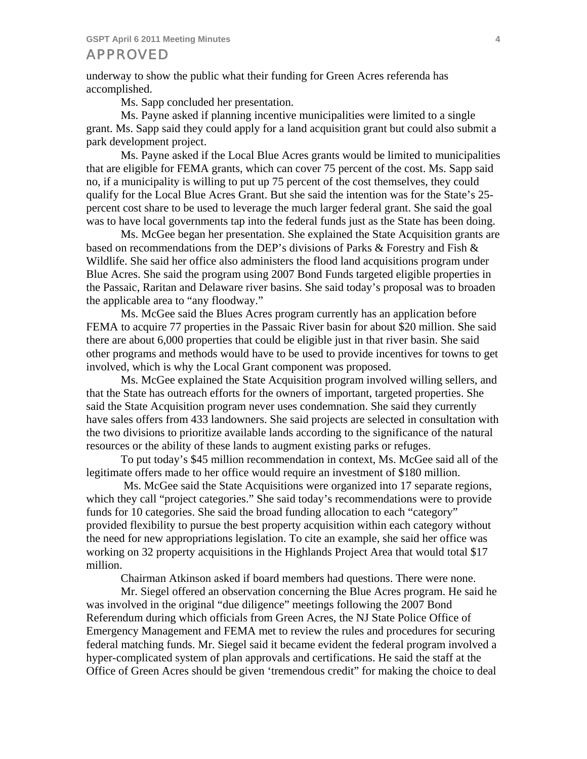underway to show the public what their funding for Green Acres referenda has accomplished.

Ms. Sapp concluded her presentation.

 Ms. Payne asked if planning incentive municipalities were limited to a single grant. Ms. Sapp said they could apply for a land acquisition grant but could also submit a park development project.

 Ms. Payne asked if the Local Blue Acres grants would be limited to municipalities that are eligible for FEMA grants, which can cover 75 percent of the cost. Ms. Sapp said no, if a municipality is willing to put up 75 percent of the cost themselves, they could qualify for the Local Blue Acres Grant. But she said the intention was for the State's 25 percent cost share to be used to leverage the much larger federal grant. She said the goal was to have local governments tap into the federal funds just as the State has been doing.

 Ms. McGee began her presentation. She explained the State Acquisition grants are based on recommendations from the DEP's divisions of Parks & Forestry and Fish & Wildlife. She said her office also administers the flood land acquisitions program under Blue Acres. She said the program using 2007 Bond Funds targeted eligible properties in the Passaic, Raritan and Delaware river basins. She said today's proposal was to broaden the applicable area to "any floodway."

 Ms. McGee said the Blues Acres program currently has an application before FEMA to acquire 77 properties in the Passaic River basin for about \$20 million. She said there are about 6,000 properties that could be eligible just in that river basin. She said other programs and methods would have to be used to provide incentives for towns to get involved, which is why the Local Grant component was proposed.

 Ms. McGee explained the State Acquisition program involved willing sellers, and that the State has outreach efforts for the owners of important, targeted properties. She said the State Acquisition program never uses condemnation. She said they currently have sales offers from 433 landowners. She said projects are selected in consultation with the two divisions to prioritize available lands according to the significance of the natural resources or the ability of these lands to augment existing parks or refuges.

 To put today's \$45 million recommendation in context, Ms. McGee said all of the legitimate offers made to her office would require an investment of \$180 million.

 Ms. McGee said the State Acquisitions were organized into 17 separate regions, which they call "project categories." She said today's recommendations were to provide funds for 10 categories. She said the broad funding allocation to each "category" provided flexibility to pursue the best property acquisition within each category without the need for new appropriations legislation. To cite an example, she said her office was working on 32 property acquisitions in the Highlands Project Area that would total \$17 million.

Chairman Atkinson asked if board members had questions. There were none.

 Mr. Siegel offered an observation concerning the Blue Acres program. He said he was involved in the original "due diligence" meetings following the 2007 Bond Referendum during which officials from Green Acres, the NJ State Police Office of Emergency Management and FEMA met to review the rules and procedures for securing federal matching funds. Mr. Siegel said it became evident the federal program involved a hyper-complicated system of plan approvals and certifications. He said the staff at the Office of Green Acres should be given 'tremendous credit" for making the choice to deal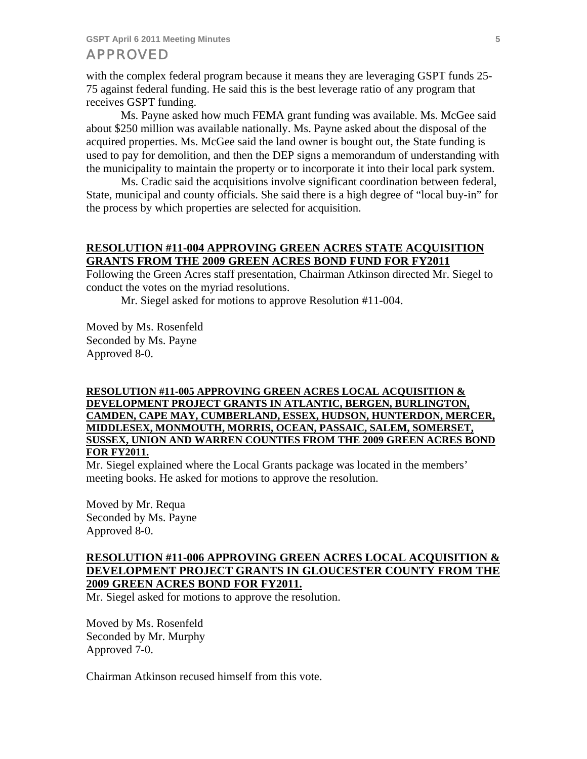with the complex federal program because it means they are leveraging GSPT funds 25- 75 against federal funding. He said this is the best leverage ratio of any program that receives GSPT funding.

 Ms. Payne asked how much FEMA grant funding was available. Ms. McGee said about \$250 million was available nationally. Ms. Payne asked about the disposal of the acquired properties. Ms. McGee said the land owner is bought out, the State funding is used to pay for demolition, and then the DEP signs a memorandum of understanding with the municipality to maintain the property or to incorporate it into their local park system.

 Ms. Cradic said the acquisitions involve significant coordination between federal, State, municipal and county officials. She said there is a high degree of "local buy-in" for the process by which properties are selected for acquisition.

## **RESOLUTION #11-004 APPROVING GREEN ACRES STATE ACQUISITION GRANTS FROM THE 2009 GREEN ACRES BOND FUND FOR FY2011**

Following the Green Acres staff presentation, Chairman Atkinson directed Mr. Siegel to conduct the votes on the myriad resolutions.

Mr. Siegel asked for motions to approve Resolution #11-004.

Moved by Ms. Rosenfeld Seconded by Ms. Payne Approved 8-0.

### **RESOLUTION #11-005 APPROVING GREEN ACRES LOCAL ACQUISITION & DEVELOPMENT PROJECT GRANTS IN ATLANTIC, BERGEN, BURLINGTON, CAMDEN, CAPE MAY, CUMBERLAND, ESSEX, HUDSON, HUNTERDON, MERCER, MIDDLESEX, MONMOUTH, MORRIS, OCEAN, PASSAIC, SALEM, SOMERSET, SUSSEX, UNION AND WARREN COUNTIES FROM THE 2009 GREEN ACRES BOND FOR FY2011.**

Mr. Siegel explained where the Local Grants package was located in the members' meeting books. He asked for motions to approve the resolution.

Moved by Mr. Requa Seconded by Ms. Payne Approved 8-0.

### **RESOLUTION #11-006 APPROVING GREEN ACRES LOCAL ACQUISITION & DEVELOPMENT PROJECT GRANTS IN GLOUCESTER COUNTY FROM THE 2009 GREEN ACRES BOND FOR FY2011.**

Mr. Siegel asked for motions to approve the resolution.

Moved by Ms. Rosenfeld Seconded by Mr. Murphy Approved 7-0.

Chairman Atkinson recused himself from this vote.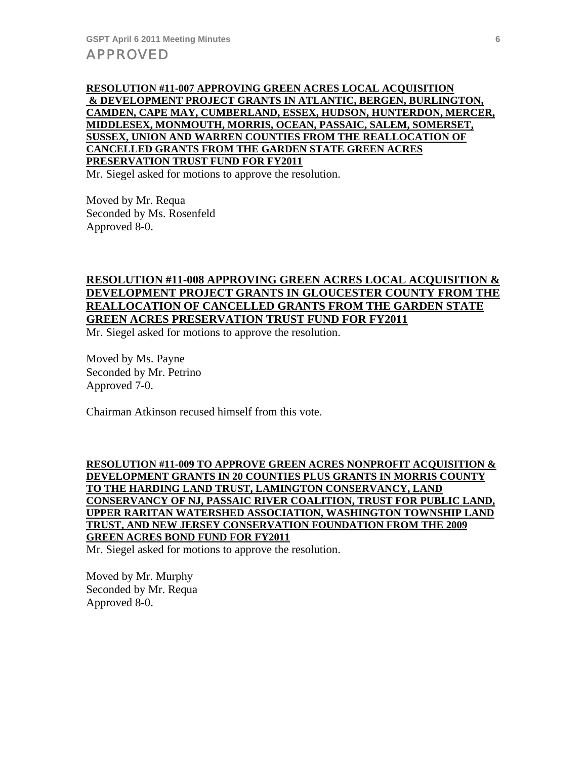**RESOLUTION #11-007 APPROVING GREEN ACRES LOCAL ACQUISITION & DEVELOPMENT PROJECT GRANTS IN ATLANTIC, BERGEN, BURLINGTON, CAMDEN, CAPE MAY, CUMBERLAND, ESSEX, HUDSON, HUNTERDON, MERCER, MIDDLESEX, MONMOUTH, MORRIS, OCEAN, PASSAIC, SALEM, SOMERSET, SUSSEX, UNION AND WARREN COUNTIES FROM THE REALLOCATION OF CANCELLED GRANTS FROM THE GARDEN STATE GREEN ACRES PRESERVATION TRUST FUND FOR FY2011**

Mr. Siegel asked for motions to approve the resolution.

Moved by Mr. Requa Seconded by Ms. Rosenfeld Approved 8-0.

# **RESOLUTION #11-008 APPROVING GREEN ACRES LOCAL ACQUISITION & DEVELOPMENT PROJECT GRANTS IN GLOUCESTER COUNTY FROM THE REALLOCATION OF CANCELLED GRANTS FROM THE GARDEN STATE GREEN ACRES PRESERVATION TRUST FUND FOR FY2011**

Mr. Siegel asked for motions to approve the resolution.

Moved by Ms. Payne Seconded by Mr. Petrino Approved 7-0.

Chairman Atkinson recused himself from this vote.

**RESOLUTION #11-009 TO APPROVE GREEN ACRES NONPROFIT ACQUISITION & DEVELOPMENT GRANTS IN 20 COUNTIES PLUS GRANTS IN MORRIS COUNTY TO THE HARDING LAND TRUST, LAMINGTON CONSERVANCY, LAND CONSERVANCY OF NJ, PASSAIC RIVER COALITION, TRUST FOR PUBLIC LAND, UPPER RARITAN WATERSHED ASSOCIATION, WASHINGTON TOWNSHIP LAND TRUST, AND NEW JERSEY CONSERVATION FOUNDATION FROM THE 2009 GREEN ACRES BOND FUND FOR FY2011** 

Mr. Siegel asked for motions to approve the resolution.

Moved by Mr. Murphy Seconded by Mr. Requa Approved 8-0.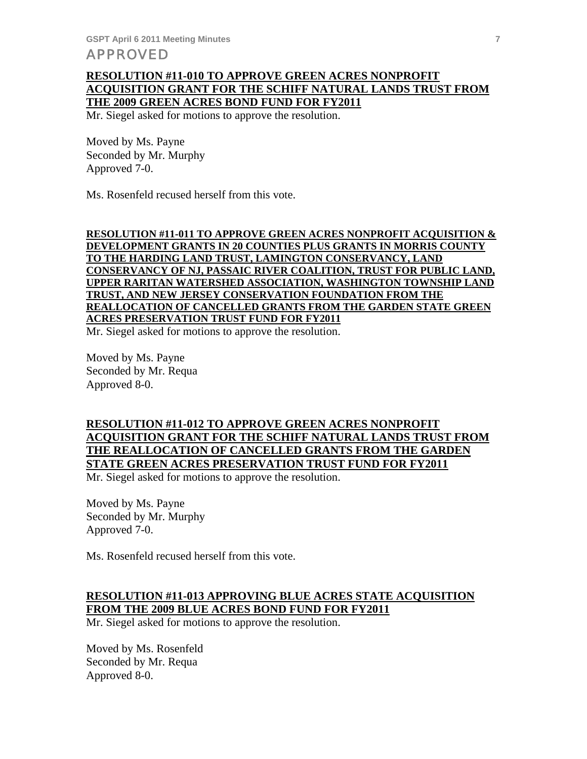## **RESOLUTION #11-010 TO APPROVE GREEN ACRES NONPROFIT ACQUISITION GRANT FOR THE SCHIFF NATURAL LANDS TRUST FROM THE 2009 GREEN ACRES BOND FUND FOR FY2011**

Mr. Siegel asked for motions to approve the resolution.

Moved by Ms. Payne Seconded by Mr. Murphy Approved 7-0.

Ms. Rosenfeld recused herself from this vote.

### **RESOLUTION #11-011 TO APPROVE GREEN ACRES NONPROFIT ACQUISITION & DEVELOPMENT GRANTS IN 20 COUNTIES PLUS GRANTS IN MORRIS COUNTY TO THE HARDING LAND TRUST, LAMINGTON CONSERVANCY, LAND CONSERVANCY OF NJ, PASSAIC RIVER COALITION, TRUST FOR PUBLIC LAND, UPPER RARITAN WATERSHED ASSOCIATION, WASHINGTON TOWNSHIP LAND TRUST, AND NEW JERSEY CONSERVATION FOUNDATION FROM THE REALLOCATION OF CANCELLED GRANTS FROM THE GARDEN STATE GREEN ACRES PRESERVATION TRUST FUND FOR FY2011**

Mr. Siegel asked for motions to approve the resolution.

Moved by Ms. Payne Seconded by Mr. Requa Approved 8-0.

# **RESOLUTION #11-012 TO APPROVE GREEN ACRES NONPROFIT ACQUISITION GRANT FOR THE SCHIFF NATURAL LANDS TRUST FROM THE REALLOCATION OF CANCELLED GRANTS FROM THE GARDEN STATE GREEN ACRES PRESERVATION TRUST FUND FOR FY2011**

Mr. Siegel asked for motions to approve the resolution.

Moved by Ms. Payne Seconded by Mr. Murphy Approved 7-0.

Ms. Rosenfeld recused herself from this vote.

## **RESOLUTION #11-013 APPROVING BLUE ACRES STATE ACQUISITION FROM THE 2009 BLUE ACRES BOND FUND FOR FY2011**

Mr. Siegel asked for motions to approve the resolution.

Moved by Ms. Rosenfeld Seconded by Mr. Requa Approved 8-0.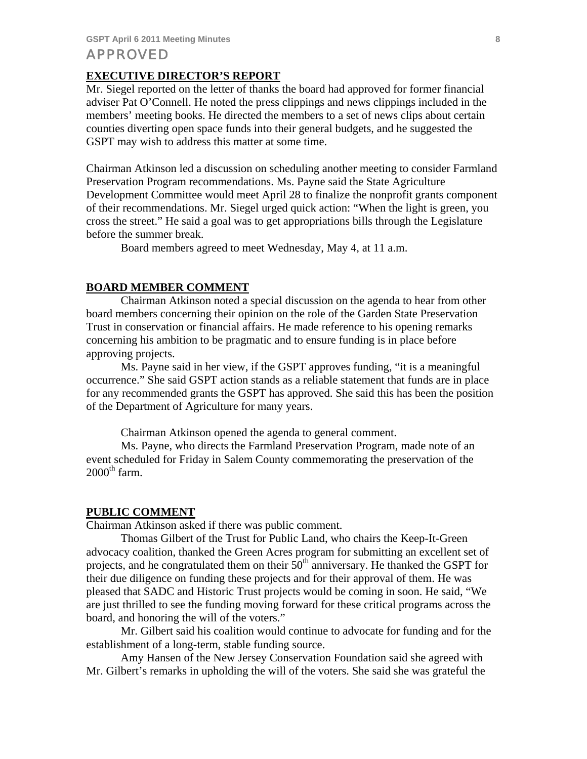#### **EXECUTIVE DIRECTOR'S REPORT**

Mr. Siegel reported on the letter of thanks the board had approved for former financial adviser Pat O'Connell. He noted the press clippings and news clippings included in the members' meeting books. He directed the members to a set of news clips about certain counties diverting open space funds into their general budgets, and he suggested the GSPT may wish to address this matter at some time.

Chairman Atkinson led a discussion on scheduling another meeting to consider Farmland Preservation Program recommendations. Ms. Payne said the State Agriculture Development Committee would meet April 28 to finalize the nonprofit grants component of their recommendations. Mr. Siegel urged quick action: "When the light is green, you cross the street." He said a goal was to get appropriations bills through the Legislature before the summer break.

Board members agreed to meet Wednesday, May 4, at 11 a.m.

### **BOARD MEMBER COMMENT**

 Chairman Atkinson noted a special discussion on the agenda to hear from other board members concerning their opinion on the role of the Garden State Preservation Trust in conservation or financial affairs. He made reference to his opening remarks concerning his ambition to be pragmatic and to ensure funding is in place before approving projects.

 Ms. Payne said in her view, if the GSPT approves funding, "it is a meaningful occurrence." She said GSPT action stands as a reliable statement that funds are in place for any recommended grants the GSPT has approved. She said this has been the position of the Department of Agriculture for many years.

Chairman Atkinson opened the agenda to general comment.

 Ms. Payne, who directs the Farmland Preservation Program, made note of an event scheduled for Friday in Salem County commemorating the preservation of the  $2000^{\text{th}}$  farm.

#### **PUBLIC COMMENT**

Chairman Atkinson asked if there was public comment.

 Thomas Gilbert of the Trust for Public Land, who chairs the Keep-It-Green advocacy coalition, thanked the Green Acres program for submitting an excellent set of projects, and he congratulated them on their  $50<sup>th</sup>$  anniversary. He thanked the GSPT for their due diligence on funding these projects and for their approval of them. He was pleased that SADC and Historic Trust projects would be coming in soon. He said, "We are just thrilled to see the funding moving forward for these critical programs across the board, and honoring the will of the voters."

 Mr. Gilbert said his coalition would continue to advocate for funding and for the establishment of a long-term, stable funding source.

 Amy Hansen of the New Jersey Conservation Foundation said she agreed with Mr. Gilbert's remarks in upholding the will of the voters. She said she was grateful the